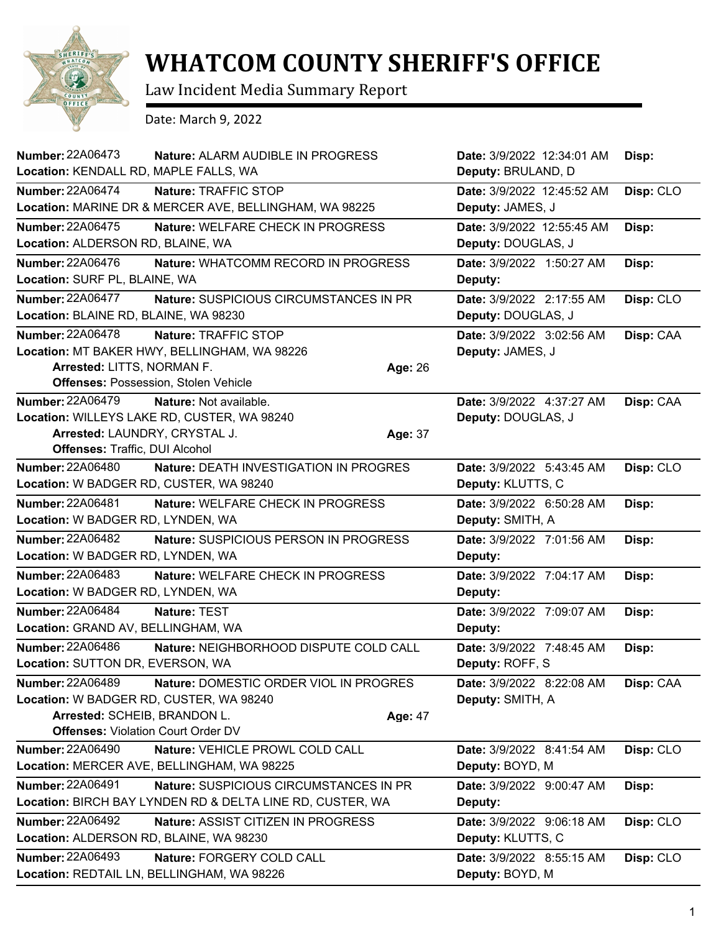

## **WHATCOM COUNTY SHERIFF'S OFFICE**

Law Incident Media Summary Report

Date: March 9, 2022

| Number: 22A06473<br>Nature: ALARM AUDIBLE IN PROGRESS<br>Location: KENDALL RD, MAPLE FALLS, WA                                                                                                       | Date: 3/9/2022 12:34:01 AM<br>Deputy: BRULAND, D | Disp:     |
|------------------------------------------------------------------------------------------------------------------------------------------------------------------------------------------------------|--------------------------------------------------|-----------|
| <b>Number: 22A06474</b><br>Nature: TRAFFIC STOP<br>Location: MARINE DR & MERCER AVE, BELLINGHAM, WA 98225                                                                                            | Date: 3/9/2022 12:45:52 AM<br>Deputy: JAMES, J   | Disp: CLO |
| <b>Number: 22A06475</b><br>Nature: WELFARE CHECK IN PROGRESS<br>Location: ALDERSON RD, BLAINE, WA                                                                                                    | Date: 3/9/2022 12:55:45 AM<br>Deputy: DOUGLAS, J | Disp:     |
| <b>Number: 22A06476</b><br>Nature: WHATCOMM RECORD IN PROGRESS<br>Location: SURF PL, BLAINE, WA                                                                                                      | Date: 3/9/2022 1:50:27 AM<br>Deputy:             | Disp:     |
| <b>Number: 22A06477</b><br>Nature: SUSPICIOUS CIRCUMSTANCES IN PR<br>Location: BLAINE RD, BLAINE, WA 98230                                                                                           | Date: 3/9/2022 2:17:55 AM<br>Deputy: DOUGLAS, J  | Disp: CLO |
| <b>Number: 22A06478</b><br>Nature: TRAFFIC STOP<br>Location: MT BAKER HWY, BELLINGHAM, WA 98226<br>Arrested: LITTS, NORMAN F.<br>Age: 26<br>Offenses: Possession, Stolen Vehicle                     | Date: 3/9/2022 3:02:56 AM<br>Deputy: JAMES, J    | Disp: CAA |
| <b>Number: 22A06479</b><br><b>Nature:</b> Not available.<br>Location: WILLEYS LAKE RD, CUSTER, WA 98240<br>Arrested: LAUNDRY, CRYSTAL J.<br>Age: 37<br>Offenses: Traffic, DUI Alcohol                | Date: 3/9/2022 4:37:27 AM<br>Deputy: DOUGLAS, J  | Disp: CAA |
| <b>Number: 22A06480</b><br><b>Nature: DEATH INVESTIGATION IN PROGRES</b><br>Location: W BADGER RD, CUSTER, WA 98240                                                                                  | Date: 3/9/2022 5:43:45 AM<br>Deputy: KLUTTS, C   | Disp: CLO |
| <b>Number: 22A06481</b><br>Nature: WELFARE CHECK IN PROGRESS<br>Location: W BADGER RD, LYNDEN, WA                                                                                                    | Date: 3/9/2022 6:50:28 AM<br>Deputy: SMITH, A    | Disp:     |
| <b>Number: 22A06482</b><br>Nature: SUSPICIOUS PERSON IN PROGRESS<br>Location: W BADGER RD, LYNDEN, WA                                                                                                | Date: 3/9/2022 7:01:56 AM<br>Deputy:             | Disp:     |
| <b>Number: 22A06483</b><br>Nature: WELFARE CHECK IN PROGRESS<br>Location: W BADGER RD, LYNDEN, WA                                                                                                    | Date: 3/9/2022 7:04:17 AM<br>Deputy:             | Disp:     |
| <b>Number: 22A06484</b><br>Nature: TEST<br>Location: GRAND AV, BELLINGHAM, WA                                                                                                                        | Date: 3/9/2022 7:09:07 AM<br>Deputy:             | Disp:     |
| <b>Number: 22A06486</b><br>Nature: NEIGHBORHOOD DISPUTE COLD CALL<br>Location: SUTTON DR, EVERSON, WA                                                                                                | Date: 3/9/2022 7:48:45 AM<br>Deputy: ROFF, S     | Disp:     |
| Number: 22A06489<br>Nature: DOMESTIC ORDER VIOL IN PROGRES<br>Location: W BADGER RD, CUSTER, WA 98240<br>Arrested: SCHEIB, BRANDON L.<br><b>Age: 47</b><br><b>Offenses: Violation Court Order DV</b> | Date: 3/9/2022 8:22:08 AM<br>Deputy: SMITH, A    | Disp: CAA |
| <b>Number: 22A06490</b><br>Nature: VEHICLE PROWL COLD CALL<br>Location: MERCER AVE, BELLINGHAM, WA 98225                                                                                             | Date: 3/9/2022 8:41:54 AM<br>Deputy: BOYD, M     | Disp: CLO |
| <b>Number: 22A06491</b><br>Nature: SUSPICIOUS CIRCUMSTANCES IN PR<br>Location: BIRCH BAY LYNDEN RD & DELTA LINE RD, CUSTER, WA                                                                       | Date: 3/9/2022 9:00:47 AM<br>Deputy:             | Disp:     |
| Number: 22A06492<br>Nature: ASSIST CITIZEN IN PROGRESS<br>Location: ALDERSON RD, BLAINE, WA 98230                                                                                                    | Date: 3/9/2022 9:06:18 AM<br>Deputy: KLUTTS, C   | Disp: CLO |
| Number: 22A06493<br>Nature: FORGERY COLD CALL<br>Location: REDTAIL LN, BELLINGHAM, WA 98226                                                                                                          | Date: 3/9/2022 8:55:15 AM<br>Deputy: BOYD, M     | Disp: CLO |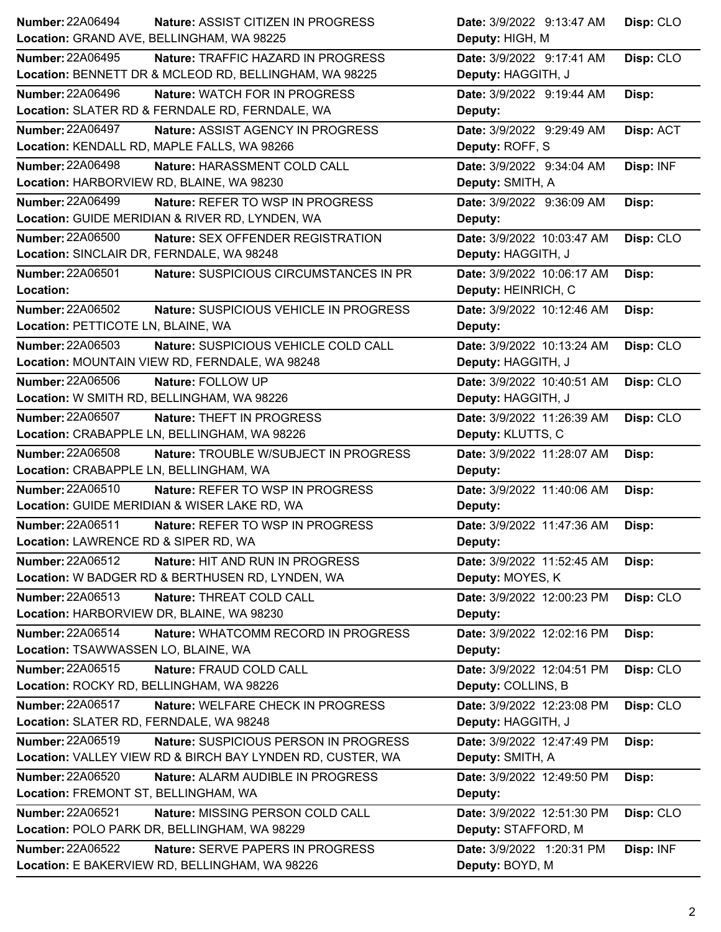| Number: 22A06494<br><b>Nature: ASSIST CITIZEN IN PROGRESS</b>    | Date: 3/9/2022 9:13:47 AM  | Disp: CLO |
|------------------------------------------------------------------|----------------------------|-----------|
| Location: GRAND AVE, BELLINGHAM, WA 98225                        | Deputy: HIGH, M            |           |
| <b>Number: 22A06495</b><br>Nature: TRAFFIC HAZARD IN PROGRESS    | Date: 3/9/2022 9:17:41 AM  | Disp: CLO |
| Location: BENNETT DR & MCLEOD RD, BELLINGHAM, WA 98225           | Deputy: HAGGITH, J         |           |
| Number: 22A06496<br><b>Nature: WATCH FOR IN PROGRESS</b>         | Date: 3/9/2022 9:19:44 AM  | Disp:     |
| Location: SLATER RD & FERNDALE RD, FERNDALE, WA                  | Deputy:                    |           |
| <b>Number: 22A06497</b><br>Nature: ASSIST AGENCY IN PROGRESS     | Date: 3/9/2022 9:29:49 AM  | Disp: ACT |
| Location: KENDALL RD, MAPLE FALLS, WA 98266                      | Deputy: ROFF, S            |           |
| <b>Number: 22A06498</b><br>Nature: HARASSMENT COLD CALL          | Date: 3/9/2022 9:34:04 AM  | Disp: INF |
| Location: HARBORVIEW RD, BLAINE, WA 98230                        | Deputy: SMITH, A           |           |
| Number: 22A06499<br>Nature: REFER TO WSP IN PROGRESS             | Date: 3/9/2022 9:36:09 AM  | Disp:     |
| Location: GUIDE MERIDIAN & RIVER RD, LYNDEN, WA                  | Deputy:                    |           |
| <b>Number: 22A06500</b><br>Nature: SEX OFFENDER REGISTRATION     | Date: 3/9/2022 10:03:47 AM | Disp: CLO |
| Location: SINCLAIR DR, FERNDALE, WA 98248                        | Deputy: HAGGITH, J         |           |
| Number: 22A06501<br>Nature: SUSPICIOUS CIRCUMSTANCES IN PR       | Date: 3/9/2022 10:06:17 AM | Disp:     |
| Location:                                                        | Deputy: HEINRICH, C        |           |
| Number: 22A06502<br>Nature: SUSPICIOUS VEHICLE IN PROGRESS       | Date: 3/9/2022 10:12:46 AM | Disp:     |
| Location: PETTICOTE LN, BLAINE, WA                               | Deputy:                    |           |
| Number: 22A06503<br>Nature: SUSPICIOUS VEHICLE COLD CALL         | Date: 3/9/2022 10:13:24 AM | Disp: CLO |
| Location: MOUNTAIN VIEW RD, FERNDALE, WA 98248                   | Deputy: HAGGITH, J         |           |
| Number: 22A06506<br>Nature: FOLLOW UP                            | Date: 3/9/2022 10:40:51 AM | Disp: CLO |
| Location: W SMITH RD, BELLINGHAM, WA 98226                       | Deputy: HAGGITH, J         |           |
| Number: 22A06507<br><b>Nature: THEFT IN PROGRESS</b>             | Date: 3/9/2022 11:26:39 AM | Disp: CLO |
| Location: CRABAPPLE LN, BELLINGHAM, WA 98226                     | Deputy: KLUTTS, C          |           |
|                                                                  |                            |           |
| <b>Number: 22A06508</b><br>Nature: TROUBLE W/SUBJECT IN PROGRESS | Date: 3/9/2022 11:28:07 AM | Disp:     |
| Location: CRABAPPLE LN, BELLINGHAM, WA                           | Deputy:                    |           |
| Number: 22A06510<br>Nature: REFER TO WSP IN PROGRESS             | Date: 3/9/2022 11:40:06 AM | Disp:     |
| Location: GUIDE MERIDIAN & WISER LAKE RD, WA                     | Deputy:                    |           |
| Number: 22A06511<br>Nature: REFER TO WSP IN PROGRESS             | Date: 3/9/2022 11:47:36 AM | Disp:     |
| Location: LAWRENCE RD & SIPER RD, WA                             | Deputy:                    |           |
| Number: 22A06512<br>Nature: HIT AND RUN IN PROGRESS              | Date: 3/9/2022 11:52:45 AM | Disp:     |
| Location: W BADGER RD & BERTHUSEN RD, LYNDEN, WA                 | Deputy: MOYES, K           |           |
| Number: 22A06513<br>Nature: THREAT COLD CALL                     | Date: 3/9/2022 12:00:23 PM | Disp: CLO |
| Location: HARBORVIEW DR, BLAINE, WA 98230                        | Deputy:                    |           |
| Number: 22A06514<br>Nature: WHATCOMM RECORD IN PROGRESS          | Date: 3/9/2022 12:02:16 PM | Disp:     |
| Location: TSAWWASSEN LO, BLAINE, WA                              | Deputy:                    |           |
| Number: 22A06515<br>Nature: FRAUD COLD CALL                      | Date: 3/9/2022 12:04:51 PM | Disp: CLO |
| Location: ROCKY RD, BELLINGHAM, WA 98226                         | Deputy: COLLINS, B         |           |
| Number: 22A06517<br>Nature: WELFARE CHECK IN PROGRESS            | Date: 3/9/2022 12:23:08 PM | Disp: CLO |
| Location: SLATER RD, FERNDALE, WA 98248                          | Deputy: HAGGITH, J         |           |
| Number: 22A06519<br>Nature: SUSPICIOUS PERSON IN PROGRESS        | Date: 3/9/2022 12:47:49 PM | Disp:     |
| Location: VALLEY VIEW RD & BIRCH BAY LYNDEN RD, CUSTER, WA       | Deputy: SMITH, A           |           |
| Number: 22A06520<br>Nature: ALARM AUDIBLE IN PROGRESS            | Date: 3/9/2022 12:49:50 PM | Disp:     |
| Location: FREMONT ST, BELLINGHAM, WA                             | Deputy:                    |           |
| <b>Number: 22A06521</b><br>Nature: MISSING PERSON COLD CALL      | Date: 3/9/2022 12:51:30 PM | Disp: CLO |
| Location: POLO PARK DR, BELLINGHAM, WA 98229                     | Deputy: STAFFORD, M        |           |
| <b>Number: 22A06522</b><br>Nature: SERVE PAPERS IN PROGRESS      | Date: 3/9/2022 1:20:31 PM  | Disp: INF |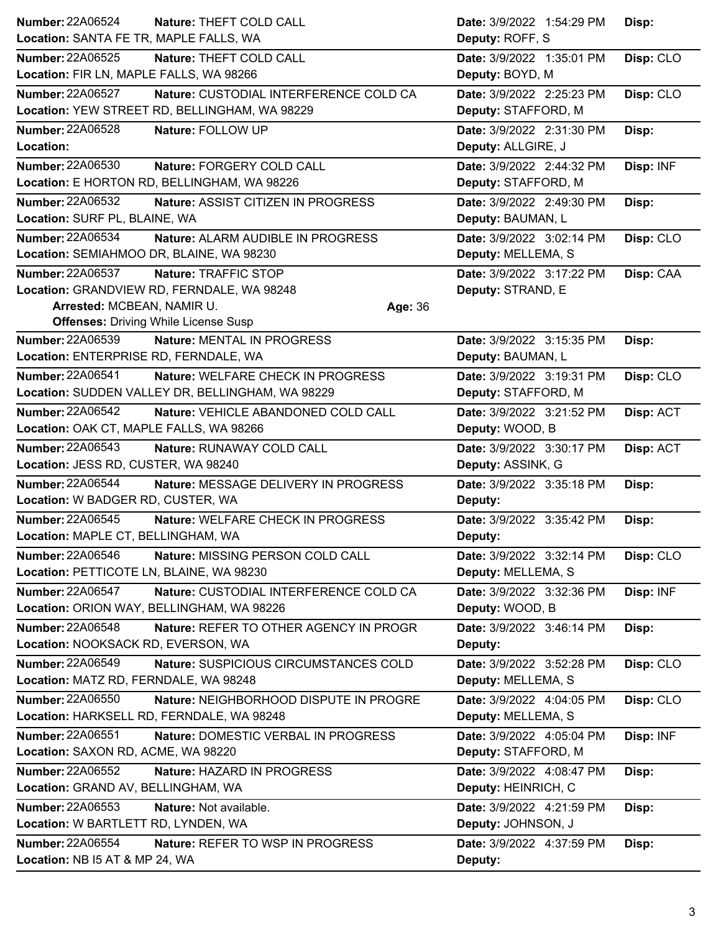| <b>Number: 22A06524</b>                   | Nature: THEFT COLD CALL                          | Date: 3/9/2022 1:54:29 PM | Disp:     |
|-------------------------------------------|--------------------------------------------------|---------------------------|-----------|
| Location: SANTA FE TR, MAPLE FALLS, WA    |                                                  | Deputy: ROFF, S           |           |
| <b>Number: 22A06525</b>                   | Nature: THEFT COLD CALL                          | Date: 3/9/2022 1:35:01 PM | Disp: CLO |
| Location: FIR LN, MAPLE FALLS, WA 98266   |                                                  | Deputy: BOYD, M           |           |
| Number: 22A06527                          | Nature: CUSTODIAL INTERFERENCE COLD CA           | Date: 3/9/2022 2:25:23 PM | Disp: CLO |
|                                           | Location: YEW STREET RD, BELLINGHAM, WA 98229    | Deputy: STAFFORD, M       |           |
| Number: 22A06528                          | Nature: FOLLOW UP                                | Date: 3/9/2022 2:31:30 PM | Disp:     |
| Location:                                 |                                                  | Deputy: ALLGIRE, J        |           |
| Number: 22A06530                          | Nature: FORGERY COLD CALL                        | Date: 3/9/2022 2:44:32 PM | Disp: INF |
|                                           | Location: E HORTON RD, BELLINGHAM, WA 98226      | Deputy: STAFFORD, M       |           |
| Number: 22A06532                          | Nature: ASSIST CITIZEN IN PROGRESS               | Date: 3/9/2022 2:49:30 PM | Disp:     |
| Location: SURF PL, BLAINE, WA             |                                                  | Deputy: BAUMAN, L         |           |
| Number: 22A06534                          | Nature: ALARM AUDIBLE IN PROGRESS                | Date: 3/9/2022 3:02:14 PM | Disp: CLO |
| Location: SEMIAHMOO DR, BLAINE, WA 98230  |                                                  | Deputy: MELLEMA, S        |           |
| Number: 22A06537                          | Nature: TRAFFIC STOP                             | Date: 3/9/2022 3:17:22 PM | Disp: CAA |
|                                           | Location: GRANDVIEW RD, FERNDALE, WA 98248       | Deputy: STRAND, E         |           |
| Arrested: MCBEAN, NAMIR U.                | Age: 36                                          |                           |           |
|                                           | <b>Offenses: Driving While License Susp</b>      |                           |           |
| <b>Number: 22A06539</b>                   | Nature: MENTAL IN PROGRESS                       | Date: 3/9/2022 3:15:35 PM | Disp:     |
| Location: ENTERPRISE RD, FERNDALE, WA     |                                                  | Deputy: BAUMAN, L         |           |
| <b>Number: 22A06541</b>                   | Nature: WELFARE CHECK IN PROGRESS                | Date: 3/9/2022 3:19:31 PM | Disp: CLO |
|                                           | Location: SUDDEN VALLEY DR, BELLINGHAM, WA 98229 | Deputy: STAFFORD, M       |           |
| Number: 22A06542                          | Nature: VEHICLE ABANDONED COLD CALL              | Date: 3/9/2022 3:21:52 PM | Disp: ACT |
| Location: OAK CT, MAPLE FALLS, WA 98266   |                                                  | Deputy: WOOD, B           |           |
| <b>Number: 22A06543</b>                   | Nature: RUNAWAY COLD CALL                        | Date: 3/9/2022 3:30:17 PM | Disp: ACT |
| Location: JESS RD, CUSTER, WA 98240       |                                                  | Deputy: ASSINK, G         |           |
|                                           |                                                  |                           |           |
| Number: 22A06544                          | Nature: MESSAGE DELIVERY IN PROGRESS             | Date: 3/9/2022 3:35:18 PM | Disp:     |
| Location: W BADGER RD, CUSTER, WA         |                                                  | Deputy:                   |           |
| Number: 22A06545                          | Nature: WELFARE CHECK IN PROGRESS                | Date: 3/9/2022 3:35:42 PM | Disp:     |
| Location: MAPLE CT, BELLINGHAM, WA        |                                                  | Deputy:                   |           |
| Number: 22A06546                          | Nature: MISSING PERSON COLD CALL                 | Date: 3/9/2022 3:32:14 PM | Disp: CLO |
| Location: PETTICOTE LN, BLAINE, WA 98230  |                                                  | Deputy: MELLEMA, S        |           |
| Number: 22A06547                          | Nature: CUSTODIAL INTERFERENCE COLD CA           | Date: 3/9/2022 3:32:36 PM | Disp: INF |
| Location: ORION WAY, BELLINGHAM, WA 98226 |                                                  | Deputy: WOOD, B           |           |
| <b>Number: 22A06548</b>                   | Nature: REFER TO OTHER AGENCY IN PROGR           | Date: 3/9/2022 3:46:14 PM | Disp:     |
| Location: NOOKSACK RD, EVERSON, WA        |                                                  | Deputy:                   |           |
| Number: 22A06549                          | Nature: SUSPICIOUS CIRCUMSTANCES COLD            | Date: 3/9/2022 3:52:28 PM | Disp: CLO |
| Location: MATZ RD, FERNDALE, WA 98248     |                                                  | Deputy: MELLEMA, S        |           |
| <b>Number: 22A06550</b>                   | Nature: NEIGHBORHOOD DISPUTE IN PROGRE           | Date: 3/9/2022 4:04:05 PM | Disp: CLO |
| Location: HARKSELL RD, FERNDALE, WA 98248 |                                                  | Deputy: MELLEMA, S        |           |
| <b>Number: 22A06551</b>                   | Nature: DOMESTIC VERBAL IN PROGRESS              | Date: 3/9/2022 4:05:04 PM | Disp: INF |
| Location: SAXON RD, ACME, WA 98220        |                                                  | Deputy: STAFFORD, M       |           |
| Number: 22A06552                          | Nature: HAZARD IN PROGRESS                       | Date: 3/9/2022 4:08:47 PM | Disp:     |
| Location: GRAND AV, BELLINGHAM, WA        |                                                  | Deputy: HEINRICH, C       |           |
| Number: 22A06553                          | Nature: Not available.                           | Date: 3/9/2022 4:21:59 PM | Disp:     |
| Location: W BARTLETT RD, LYNDEN, WA       |                                                  | Deputy: JOHNSON, J        |           |
| Number: 22A06554                          | Nature: REFER TO WSP IN PROGRESS                 | Date: 3/9/2022 4:37:59 PM | Disp:     |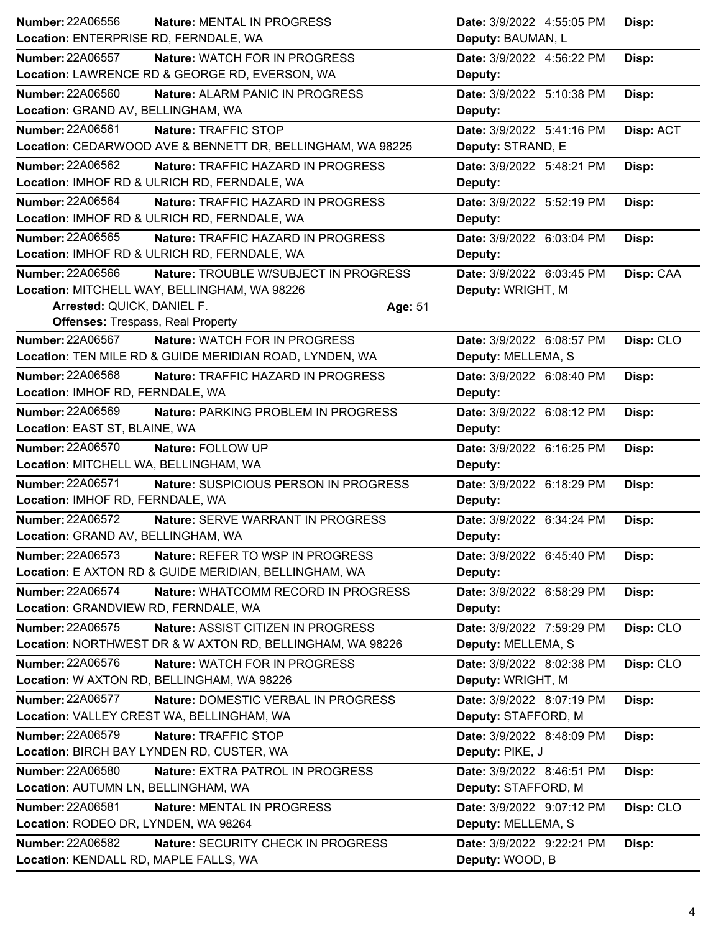| Location: ENTERPRISE RD, FERNDALE, WA          | Nature: MENTAL IN PROGRESS                                 | Date: 3/9/2022 4:55:05 PM<br>Disp:     |
|------------------------------------------------|------------------------------------------------------------|----------------------------------------|
|                                                |                                                            | Deputy: BAUMAN, L                      |
| <b>Number: 22A06557</b>                        | <b>Nature: WATCH FOR IN PROGRESS</b>                       | Date: 3/9/2022 4:56:22 PM<br>Disp:     |
| Location: LAWRENCE RD & GEORGE RD, EVERSON, WA |                                                            | Deputy:                                |
| <b>Number: 22A06560</b>                        | Nature: ALARM PANIC IN PROGRESS                            | Date: 3/9/2022 5:10:38 PM<br>Disp:     |
| Location: GRAND AV, BELLINGHAM, WA             |                                                            | Deputy:                                |
| <b>Number: 22A06561</b>                        | Nature: TRAFFIC STOP                                       | Date: 3/9/2022 5:41:16 PM<br>Disp: ACT |
|                                                | Location: CEDARWOOD AVE & BENNETT DR, BELLINGHAM, WA 98225 | Deputy: STRAND, E                      |
| <b>Number: 22A06562</b>                        | Nature: TRAFFIC HAZARD IN PROGRESS                         | Date: 3/9/2022 5:48:21 PM<br>Disp:     |
| Location: IMHOF RD & ULRICH RD, FERNDALE, WA   |                                                            | Deputy:                                |
| <b>Number: 22A06564</b>                        | Nature: TRAFFIC HAZARD IN PROGRESS                         | Date: 3/9/2022 5:52:19 PM<br>Disp:     |
| Location: IMHOF RD & ULRICH RD, FERNDALE, WA   |                                                            | Deputy:                                |
| Number: 22A06565                               | Nature: TRAFFIC HAZARD IN PROGRESS                         | Date: 3/9/2022 6:03:04 PM<br>Disp:     |
| Location: IMHOF RD & ULRICH RD, FERNDALE, WA   |                                                            | Deputy:                                |
| Number: 22A06566                               | Nature: TROUBLE W/SUBJECT IN PROGRESS                      | Date: 3/9/2022 6:03:45 PM<br>Disp: CAA |
| Location: MITCHELL WAY, BELLINGHAM, WA 98226   |                                                            | Deputy: WRIGHT, M                      |
| Arrested: QUICK, DANIEL F.                     |                                                            | Age: 51                                |
| <b>Offenses: Trespass, Real Property</b>       |                                                            |                                        |
| <b>Number: 22A06567</b>                        | Nature: WATCH FOR IN PROGRESS                              | Disp: CLO<br>Date: 3/9/2022 6:08:57 PM |
|                                                | Location: TEN MILE RD & GUIDE MERIDIAN ROAD, LYNDEN, WA    | Deputy: MELLEMA, S                     |
| <b>Number: 22A06568</b>                        | Nature: TRAFFIC HAZARD IN PROGRESS                         | Date: 3/9/2022 6:08:40 PM<br>Disp:     |
| Location: IMHOF RD, FERNDALE, WA               |                                                            | Deputy:                                |
| Number: 22A06569                               | Nature: PARKING PROBLEM IN PROGRESS                        | Date: 3/9/2022 6:08:12 PM<br>Disp:     |
| Location: EAST ST, BLAINE, WA                  |                                                            | Deputy:                                |
| <b>Number: 22A06570</b>                        | Nature: FOLLOW UP                                          | Date: 3/9/2022 6:16:25 PM<br>Disp:     |
| Location: MITCHELL WA, BELLINGHAM, WA          |                                                            | Deputy:                                |
| Number: 22A06571                               | Nature: SUSPICIOUS PERSON IN PROGRESS                      | Date: 3/9/2022 6:18:29 PM<br>Disp:     |
|                                                |                                                            |                                        |
| Location: IMHOF RD, FERNDALE, WA               |                                                            | Deputy:                                |
| <b>Number: 22A06572</b>                        | Nature: SERVE WARRANT IN PROGRESS                          | Date: 3/9/2022 6:34:24 PM<br>Disp:     |
| Location: GRAND AV, BELLINGHAM, WA             |                                                            | Deputy:                                |
| <b>Number: 22A06573</b>                        | Nature: REFER TO WSP IN PROGRESS                           | Date: 3/9/2022 6:45:40 PM<br>Disp:     |
|                                                | Location: E AXTON RD & GUIDE MERIDIAN, BELLINGHAM, WA      | Deputy:                                |
| <b>Number: 22A06574</b>                        | Nature: WHATCOMM RECORD IN PROGRESS                        | Date: 3/9/2022 6:58:29 PM<br>Disp:     |
| Location: GRANDVIEW RD, FERNDALE, WA           |                                                            | Deputy:                                |
| Number: 22A06575                               | Nature: ASSIST CITIZEN IN PROGRESS                         | Date: 3/9/2022 7:59:29 PM<br>Disp: CLO |
|                                                | Location: NORTHWEST DR & W AXTON RD, BELLINGHAM, WA 98226  | Deputy: MELLEMA, S                     |
| Number: 22A06576                               | Nature: WATCH FOR IN PROGRESS                              | Disp: CLO<br>Date: 3/9/2022 8:02:38 PM |
| Location: W AXTON RD, BELLINGHAM, WA 98226     |                                                            | Deputy: WRIGHT, M                      |
| Number: 22A06577                               | Nature: DOMESTIC VERBAL IN PROGRESS                        | Date: 3/9/2022 8:07:19 PM<br>Disp:     |
| Location: VALLEY CREST WA, BELLINGHAM, WA      |                                                            | Deputy: STAFFORD, M                    |
| <b>Number: 22A06579</b>                        | Nature: TRAFFIC STOP                                       | Date: 3/9/2022 8:48:09 PM<br>Disp:     |
| Location: BIRCH BAY LYNDEN RD, CUSTER, WA      |                                                            | Deputy: PIKE, J                        |
| <b>Number: 22A06580</b>                        | <b>Nature: EXTRA PATROL IN PROGRESS</b>                    | Date: 3/9/2022 8:46:51 PM<br>Disp:     |
| Location: AUTUMN LN, BELLINGHAM, WA            |                                                            | Deputy: STAFFORD, M                    |
| Number: 22A06581                               | Nature: MENTAL IN PROGRESS                                 | Date: 3/9/2022 9:07:12 PM<br>Disp: CLO |
| Location: RODEO DR, LYNDEN, WA 98264           |                                                            | Deputy: MELLEMA, S                     |
| <b>Number: 22A06582</b>                        | Nature: SECURITY CHECK IN PROGRESS                         | Date: 3/9/2022 9:22:21 PM<br>Disp:     |